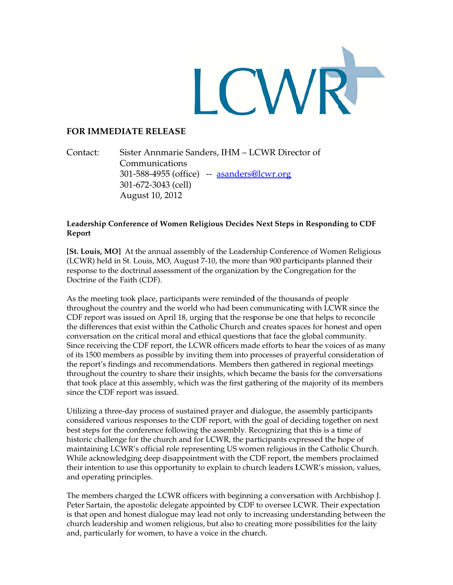

## **FOR IMMEDIATE RELEASE**

Contact: Sister Annmarie Sanders, IHM - LCWR Director of Communications 301-588-4955 (office) -- asanders@lcwr.org 301-672-3043 (cell) August 10, 2012

## Leadership Conference of Women Religious Decides Next Steps in Responding to CDF Report

[St. Louis, MO] At the annual assembly of the Leadership Conference of Women Religious (LCWR) held in St. Louis, MO, August 7-10, the more than 900 participants planned their response to the doctrinal assessment of the organization by the Congregation for the Doctrine of the Faith (CDF).

As the meeting took place, participants were reminded of the thousands of people throughout the country and the world who had been communicating with LCWR since the CDF report was issued on April 18, urging that the response be one that helps to reconcile the differences that exist within the Catholic Church and creates spaces for honest and open conversation on the critical moral and ethical questions that face the global community. Since receiving the CDF report, the LCWR officers made efforts to hear the voices of as many of its 1500 members as possible by inviting them into processes of prayerful consideration of the report's findings and recommendations. Members then gathered in regional meetings throughout the country to share their insights, which became the basis for the conversations that took place at this assembly, which was the first gathering of the majority of its members since the CDF report was issued.

Utilizing a three-day process of sustained prayer and dialogue, the assembly participants considered various responses to the CDF report, with the goal of deciding together on next best steps for the conference following the assembly. Recognizing that this is a time of historic challenge for the church and for LCWR, the participants expressed the hope of maintaining LCWR's official role representing US women religious in the Catholic Church. While acknowledging deep disappointment with the CDF report, the members proclaimed their intention to use this opportunity to explain to church leaders LCWR's mission, values, and operating principles.

The members charged the LCWR officers with beginning a conversation with Archbishop J. Peter Sartain, the apostolic delegate appointed by CDF to oversee LCWR. Their expectation is that open and honest dialogue may lead not only to increasing understanding between the church leadership and women religious, but also to creating more possibilities for the laity and, particularly for women, to have a voice in the church.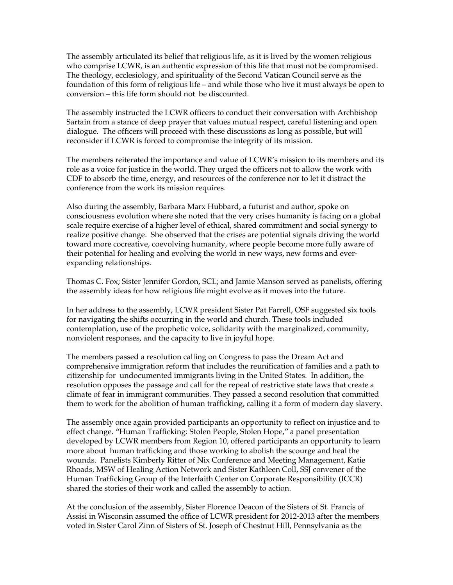The assembly articulated its belief that religious life, as it is lived by the women religious who comprise LCWR, is an authentic expression of this life that must not be compromised. The theology, ecclesiology, and spirituality of the Second Vatican Council serve as the foundation of this form of religious life – and while those who live it must always be open to conversion – this life form should not be discounted.

The assembly instructed the LCWR officers to conduct their conversation with Archbishop Sartain from a stance of deep prayer that values mutual respect, careful listening and open dialogue. The officers will proceed with these discussions as long as possible, but will reconsider if LCWR is forced to compromise the integrity of its mission.

The members reiterated the importance and value of LCWR's mission to its members and its role as a voice for justice in the world. They urged the officers not to allow the work with CDF to absorb the time, energy, and resources of the conference nor to let it distract the conference from the work its mission requires.

Also during the assembly, Barbara Marx Hubbard, a futurist and author, spoke on consciousness evolution where she noted that the very crises humanity is facing on a global scale require exercise of a higher level of ethical, shared commitment and social synergy to realize positive change. She observed that the crises are potential signals driving the world toward more cocreative, coevolving humanity, where people become more fully aware of their potential for healing and evolving the world in new ways, new forms and everexpanding relationships.

Thomas C. Fox; Sister Jennifer Gordon, SCL; and Jamie Manson served as panelists, offering the assembly ideas for how religious life might evolve as it moves into the future.

In her address to the assembly, LCWR president Sister Pat Farrell, OSF suggested six tools for navigating the shifts occurring in the world and church. These tools included contemplation, use of the prophetic voice, solidarity with the marginalized, community, nonviolent responses, and the capacity to live in joyful hope.

The members passed a resolution calling on Congress to pass the Dream Act and comprehensive immigration reform that includes the reunification of families and a path to citizenship for undocumented immigrants living in the United States. In addition, the resolution opposes the passage and call for the repeal of restrictive state laws that create a climate of fear in immigrant communities. They passed a second resolution that committed them to work for the abolition of human trafficking, calling it a form of modern day slavery.

The assembly once again provided participants an opportunity to reflect on injustice and to effect change. *"*Human Trafficking: Stolen People, Stolen Hope,*"* a panel presentation developed by LCWR members from Region 10, offered participants an opportunity to learn more about human trafficking and those working to abolish the scourge and heal the wounds. Panelists Kimberly Ritter of Nix Conference and Meeting Management, Katie Rhoads, MSW of Healing Action Network and Sister Kathleen Coll, SSJ convener of the Human Trafficking Group of the Interfaith Center on Corporate Responsibility (ICCR) shared the stories of their work and called the assembly to action.

At the conclusion of the assembly, Sister Florence Deacon of the Sisters of St. Francis of Assisi in Wisconsin assumed the office of LCWR president for 2012-2013 after the members voted in Sister Carol Zinn of Sisters of St. Joseph of Chestnut Hill, Pennsylvania as the